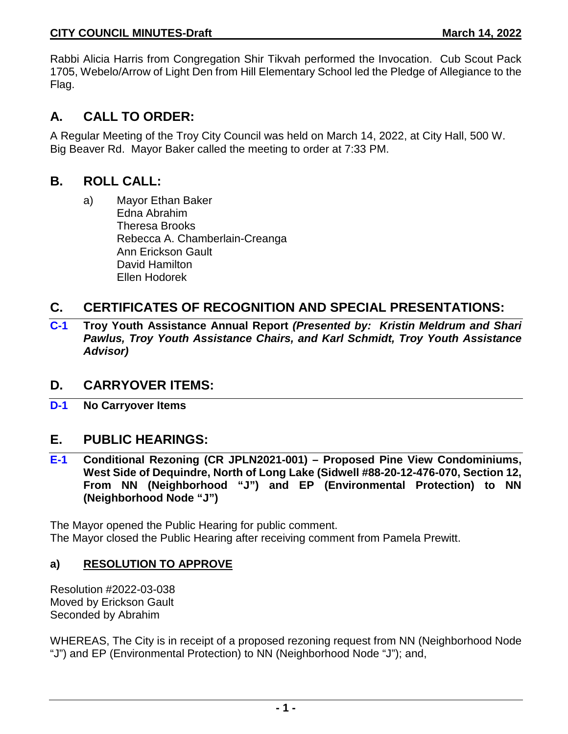Rabbi Alicia Harris from Congregation Shir Tikvah performed the Invocation. Cub Scout Pack 1705, Webelo/Arrow of Light Den from Hill Elementary School led the Pledge of Allegiance to the Flag.

# **A. CALL TO ORDER:**

A Regular Meeting of the Troy City Council was held on March 14, 2022, at City Hall, 500 W. Big Beaver Rd. Mayor Baker called the meeting to order at 7:33 PM.

## **B. ROLL CALL:**

a) Mayor Ethan Baker Edna Abrahim Theresa Brooks Rebecca A. Chamberlain-Creanga Ann Erickson Gault David Hamilton Ellen Hodorek

## **C. CERTIFICATES OF RECOGNITION AND SPECIAL PRESENTATIONS:**

**C-1 Troy Youth Assistance Annual Report** *(Presented by: Kristin Meldrum and Shari Pawlus, Troy Youth Assistance Chairs, and Karl Schmidt, Troy Youth Assistance Advisor)*

## **D. CARRYOVER ITEMS:**

**D-1 No Carryover Items**

## **E. PUBLIC HEARINGS:**

**E-1 Conditional Rezoning (CR JPLN2021-001) – Proposed Pine View Condominiums, West Side of Dequindre, North of Long Lake (Sidwell #88-20-12-476-070, Section 12, From NN (Neighborhood "J") and EP (Environmental Protection) to NN (Neighborhood Node "J")**

The Mayor opened the Public Hearing for public comment. The Mayor closed the Public Hearing after receiving comment from Pamela Prewitt.

### **a) RESOLUTION TO APPROVE**

Resolution #2022-03-038 Moved by Erickson Gault Seconded by Abrahim

WHEREAS, The City is in receipt of a proposed rezoning request from NN (Neighborhood Node "J") and EP (Environmental Protection) to NN (Neighborhood Node "J"); and,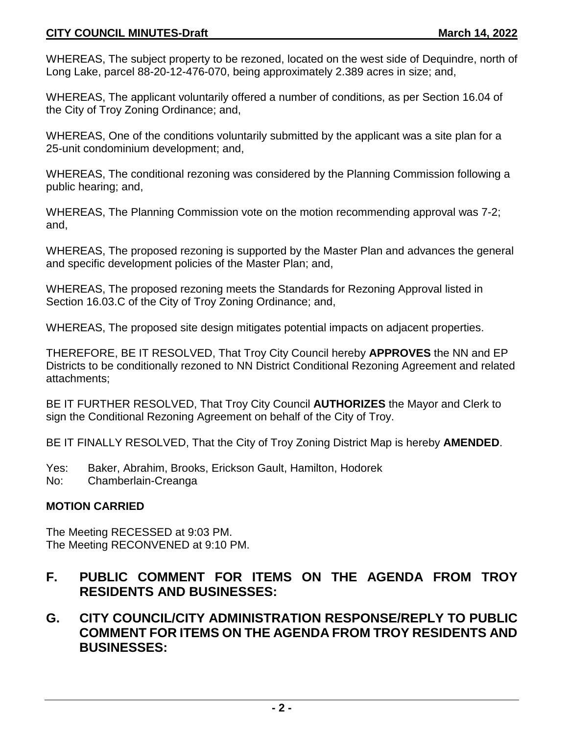### **CITY COUNCIL MINUTES-Draft March 14, 2022**

WHEREAS, The subject property to be rezoned, located on the west side of Dequindre, north of Long Lake, parcel 88-20-12-476-070, being approximately 2.389 acres in size; and,

WHEREAS, The applicant voluntarily offered a number of conditions, as per Section 16.04 of the City of Troy Zoning Ordinance; and,

WHEREAS, One of the conditions voluntarily submitted by the applicant was a site plan for a 25-unit condominium development; and,

WHEREAS, The conditional rezoning was considered by the Planning Commission following a public hearing; and,

WHEREAS, The Planning Commission vote on the motion recommending approval was 7-2; and,

WHEREAS, The proposed rezoning is supported by the Master Plan and advances the general and specific development policies of the Master Plan; and,

WHEREAS, The proposed rezoning meets the Standards for Rezoning Approval listed in Section 16.03.C of the City of Troy Zoning Ordinance; and,

WHEREAS, The proposed site design mitigates potential impacts on adjacent properties.

THEREFORE, BE IT RESOLVED, That Troy City Council hereby **APPROVES** the NN and EP Districts to be conditionally rezoned to NN District Conditional Rezoning Agreement and related attachments;

BE IT FURTHER RESOLVED, That Troy City Council **AUTHORIZES** the Mayor and Clerk to sign the Conditional Rezoning Agreement on behalf of the City of Troy.

BE IT FINALLY RESOLVED, That the City of Troy Zoning District Map is hereby **AMENDED**.

- Yes: Baker, Abrahim, Brooks, Erickson Gault, Hamilton, Hodorek
- No: Chamberlain-Creanga

### **MOTION CARRIED**

The Meeting RECESSED at 9:03 PM. The Meeting RECONVENED at 9:10 PM.

## **F. PUBLIC COMMENT FOR ITEMS ON THE AGENDA FROM TROY RESIDENTS AND BUSINESSES:**

## **G. CITY COUNCIL/CITY ADMINISTRATION RESPONSE/REPLY TO PUBLIC COMMENT FOR ITEMS ON THE AGENDA FROM TROY RESIDENTS AND BUSINESSES:**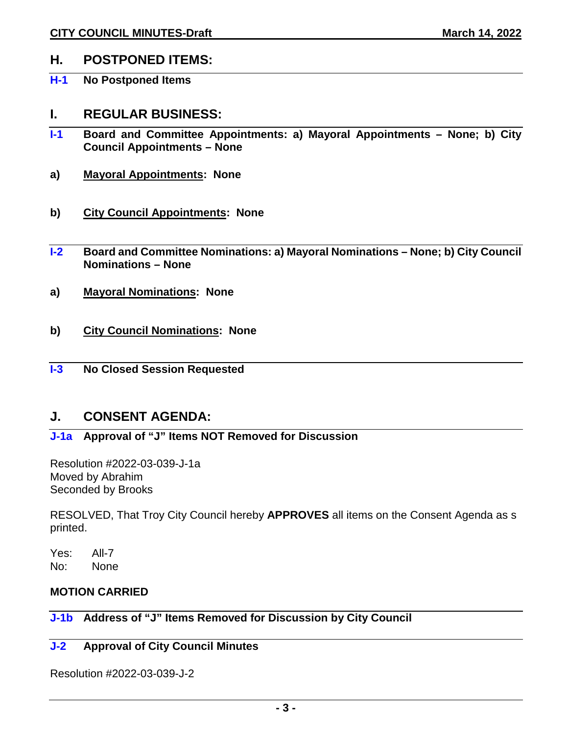## **H. POSTPONED ITEMS:**

**H-1 No Postponed Items** 

### **I. REGULAR BUSINESS:**

- **I-1 Board and Committee Appointments: a) Mayoral Appointments – None; b) City Council Appointments – None**
- **a) Mayoral Appointments: None**
- **b) City Council Appointments: None**
- **I-2 Board and Committee Nominations: a) Mayoral Nominations – None; b) City Council Nominations – None**
- **a) Mayoral Nominations: None**
- **b) City Council Nominations: None**
- **I-3 No Closed Session Requested**

### **J. CONSENT AGENDA:**

## **J-1a Approval of "J" Items NOT Removed for Discussion**

Resolution #2022-03-039-J-1a Moved by Abrahim Seconded by Brooks

RESOLVED, That Troy City Council hereby **APPROVES** all items on the Consent Agenda as s printed.

Yes: All-7 No: None

### **MOTION CARRIED**

### **J-1b Address of "J" Items Removed for Discussion by City Council**

### **J-2 Approval of City Council Minutes**

Resolution #2022-03-039-J-2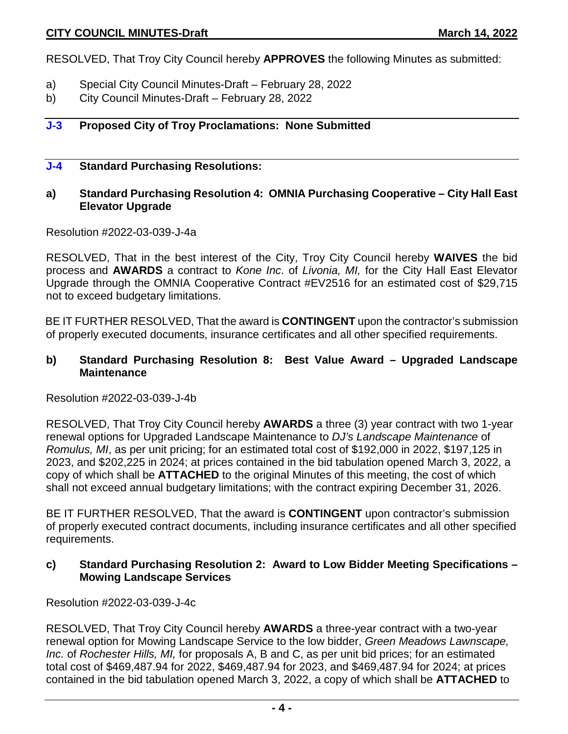RESOLVED, That Troy City Council hereby **APPROVES** the following Minutes as submitted:

- a) Special City Council Minutes-Draft February 28, 2022
- b) City Council Minutes-Draft February 28, 2022

#### **J-3 Proposed City of Troy Proclamations: None Submitted**

#### **J-4 Standard Purchasing Resolutions:**

### **a) Standard Purchasing Resolution 4: OMNIA Purchasing Cooperative – City Hall East Elevator Upgrade**

#### Resolution #2022-03-039-J-4a

RESOLVED, That in the best interest of the City, Troy City Council hereby **WAIVES** the bid process and **AWARDS** a contract to *Kone Inc*. of *Livonia, MI,* for the City Hall East Elevator Upgrade through the OMNIA Cooperative Contract #EV2516 for an estimated cost of \$29,715 not to exceed budgetary limitations.

BE IT FURTHER RESOLVED, That the award is **CONTINGENT** upon the contractor's submission of properly executed documents, insurance certificates and all other specified requirements.

#### **b) Standard Purchasing Resolution 8: Best Value Award – Upgraded Landscape Maintenance**

#### Resolution #2022-03-039-J-4b

RESOLVED, That Troy City Council hereby **AWARDS** a three (3) year contract with two 1-year renewal options for Upgraded Landscape Maintenance to *DJ's Landscape Maintenance* of *Romulus, MI*, as per unit pricing; for an estimated total cost of \$192,000 in 2022, \$197,125 in 2023, and \$202,225 in 2024; at prices contained in the bid tabulation opened March 3, 2022, a copy of which shall be **ATTACHED** to the original Minutes of this meeting, the cost of which shall not exceed annual budgetary limitations; with the contract expiring December 31, 2026.

BE IT FURTHER RESOLVED, That the award is **CONTINGENT** upon contractor's submission of properly executed contract documents, including insurance certificates and all other specified requirements.

#### **c) Standard Purchasing Resolution 2: Award to Low Bidder Meeting Specifications – Mowing Landscape Services**

Resolution #2022-03-039-J-4c

RESOLVED, That Troy City Council hereby **AWARDS** a three-year contract with a two-year renewal option for Mowing Landscape Service to the low bidder, *Green Meadows Lawnscape, Inc.* of *Rochester Hills, MI,* for proposals A, B and C, as per unit bid prices; for an estimated total cost of \$469,487.94 for 2022, \$469,487.94 for 2023, and \$469,487.94 for 2024; at prices contained in the bid tabulation opened March 3, 2022, a copy of which shall be **ATTACHED** to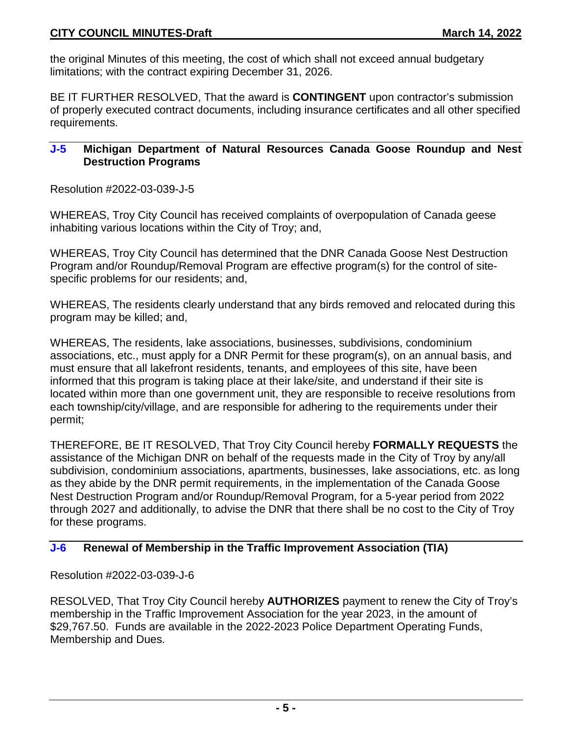### **CITY COUNCIL MINUTES-Draft March 14, 2022**

the original Minutes of this meeting, the cost of which shall not exceed annual budgetary limitations; with the contract expiring December 31, 2026.

BE IT FURTHER RESOLVED, That the award is **CONTINGENT** upon contractor's submission of properly executed contract documents, including insurance certificates and all other specified requirements.

#### **J-5 Michigan Department of Natural Resources Canada Goose Roundup and Nest Destruction Programs**

Resolution #2022-03-039-J-5

WHEREAS, Troy City Council has received complaints of overpopulation of Canada geese inhabiting various locations within the City of Troy; and,

WHEREAS, Troy City Council has determined that the DNR Canada Goose Nest Destruction Program and/or Roundup/Removal Program are effective program(s) for the control of sitespecific problems for our residents; and,

WHEREAS, The residents clearly understand that any birds removed and relocated during this program may be killed; and,

WHEREAS, The residents, lake associations, businesses, subdivisions, condominium associations, etc., must apply for a DNR Permit for these program(s), on an annual basis, and must ensure that all lakefront residents, tenants, and employees of this site, have been informed that this program is taking place at their lake/site, and understand if their site is located within more than one government unit, they are responsible to receive resolutions from each township/city/village, and are responsible for adhering to the requirements under their permit;

THEREFORE, BE IT RESOLVED, That Troy City Council hereby **FORMALLY REQUESTS** the assistance of the Michigan DNR on behalf of the requests made in the City of Troy by any/all subdivision, condominium associations, apartments, businesses, lake associations, etc. as long as they abide by the DNR permit requirements, in the implementation of the Canada Goose Nest Destruction Program and/or Roundup/Removal Program, for a 5-year period from 2022 through 2027 and additionally, to advise the DNR that there shall be no cost to the City of Troy for these programs.

#### **J-6 Renewal of Membership in the Traffic Improvement Association (TIA)**

Resolution #2022-03-039-J-6

RESOLVED, That Troy City Council hereby **AUTHORIZES** payment to renew the City of Troy's membership in the Traffic Improvement Association for the year 2023, in the amount of \$29,767.50. Funds are available in the 2022-2023 Police Department Operating Funds, Membership and Dues.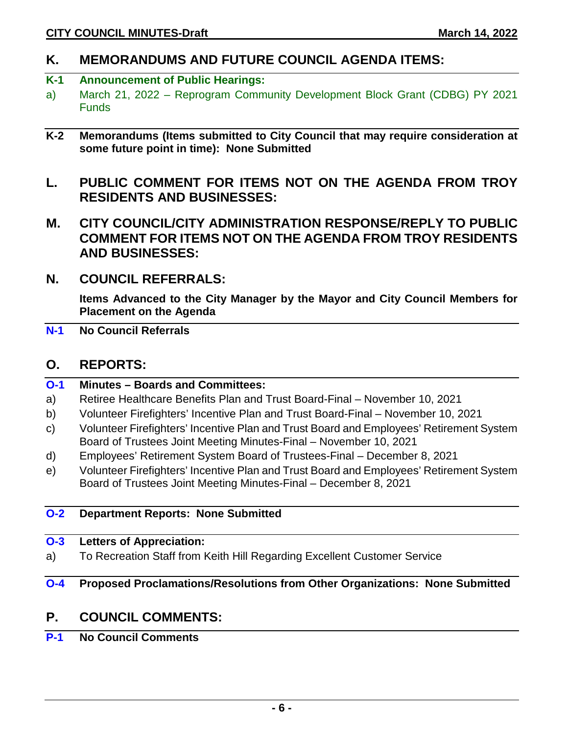## **K. MEMORANDUMS AND FUTURE COUNCIL AGENDA ITEMS:**

### **K-1 Announcement of Public Hearings:**

- a) March 21, 2022 Reprogram Community Development Block Grant (CDBG) PY 2021 **Funds**
- **K-2 Memorandums (Items submitted to City Council that may require consideration at some future point in time): None Submitted**
- **L. PUBLIC COMMENT FOR ITEMS NOT ON THE AGENDA FROM TROY RESIDENTS AND BUSINESSES:**
- **M. CITY COUNCIL/CITY ADMINISTRATION RESPONSE/REPLY TO PUBLIC COMMENT FOR ITEMS NOT ON THE AGENDA FROM TROY RESIDENTS AND BUSINESSES:**
- **N. COUNCIL REFERRALS:**

**Items Advanced to the City Manager by the Mayor and City Council Members for Placement on the Agenda**

**N-1 No Council Referrals**

### **O. REPORTS:**

| $O-1$ | <b>Minutes - Boards and Committees:</b>                                              |
|-------|--------------------------------------------------------------------------------------|
| a)    | Retiree Healthcare Benefits Plan and Trust Board-Final – November 10, 2021           |
| b)    | Volunteer Firefighters' Incentive Plan and Trust Board-Final – November 10, 2021     |
| C)    | Volunteer Firefighters' Incentive Plan and Trust Board and Employees' Retirement Sys |

- c) Volunteer Firefighters' Incentive Plan and Trust Board and Employees' Retirement System Board of Trustees Joint Meeting Minutes-Final – November 10, 2021
- d) Employees' Retirement System Board of Trustees-Final December 8, 2021
- e) Volunteer Firefighters' Incentive Plan and Trust Board and Employees' Retirement System Board of Trustees Joint Meeting Minutes-Final – December 8, 2021

#### **O-2 Department Reports: None Submitted**

#### **O-3 Letters of Appreciation:**

a) To Recreation Staff from Keith Hill Regarding Excellent Customer Service

### **O-4 Proposed Proclamations/Resolutions from Other Organizations: None Submitted**

## **P. COUNCIL COMMENTS:**

**P-1 No Council Comments**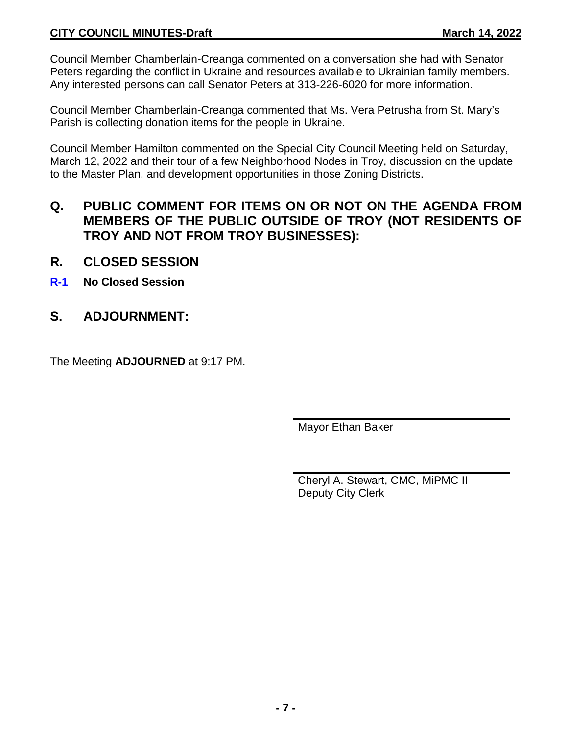Council Member Chamberlain-Creanga commented on a conversation she had with Senator Peters regarding the conflict in Ukraine and resources available to Ukrainian family members. Any interested persons can call Senator Peters at 313-226-6020 for more information.

Council Member Chamberlain-Creanga commented that Ms. Vera Petrusha from St. Mary's Parish is collecting donation items for the people in Ukraine.

Council Member Hamilton commented on the Special City Council Meeting held on Saturday, March 12, 2022 and their tour of a few Neighborhood Nodes in Troy, discussion on the update to the Master Plan, and development opportunities in those Zoning Districts.

## **Q. PUBLIC COMMENT FOR ITEMS ON OR NOT ON THE AGENDA FROM MEMBERS OF THE PUBLIC OUTSIDE OF TROY (NOT RESIDENTS OF TROY AND NOT FROM TROY BUSINESSES):**

## **R. CLOSED SESSION**

**R-1 No Closed Session**

## **S. ADJOURNMENT:**

The Meeting **ADJOURNED** at 9:17 PM.

Mayor Ethan Baker

Cheryl A. Stewart, CMC, MiPMC II Deputy City Clerk